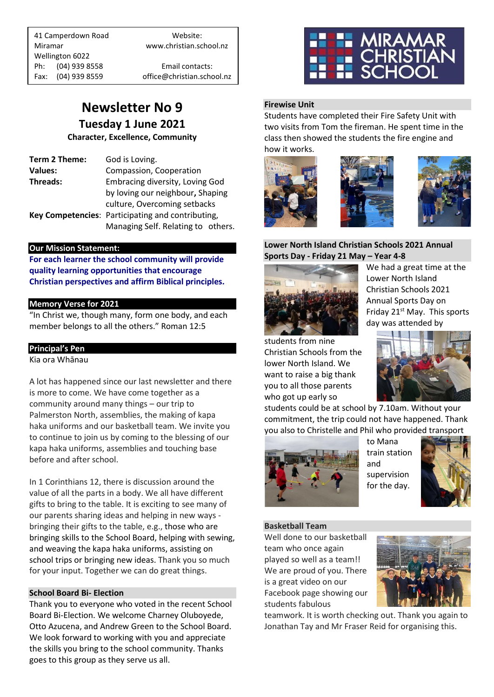41 Camperdown Road Website: Miramar www.christian.school.nz Wellington 6022 Ph: (04) 939 8558 Email contacts:

Fax: (04) 939 8559 office@christian.school.nz

# **Newsletter No 9 Tuesday 1 June 2021**

**Character, Excellence, Community**

| Term 2 Theme:  | God is Loving.                                    |
|----------------|---------------------------------------------------|
| <b>Values:</b> | Compassion, Cooperation                           |
| Threads:       | Embracing diversity, Loving God                   |
|                | by loving our neighbour, Shaping                  |
|                | culture, Overcoming setbacks                      |
|                | Key Competencies: Participating and contributing, |
|                | Managing Self. Relating to others.                |

## **Our Mission Statement:**

**For each learner the school community will provide quality learning opportunities that encourage Christian perspectives and affirm Biblical principles***.*

# **Memory Verse for 2021**

"In Christ we, though many, form one body, and each member belongs to all the others." Roman 12:5

# **Principal's Pen**

Kia ora Whānau

A lot has happened since our last newsletter and there is more to come. We have come together as a community around many things – our trip to Palmerston North, assemblies, the making of kapa haka uniforms and our basketball team. We invite you to continue to join us by coming to the blessing of our kapa haka uniforms, assemblies and touching base before and after school.

In 1 Corinthians 12, there is discussion around the value of all the parts in a body. We all have different gifts to bring to the table. It is exciting to see many of our parents sharing ideas and helping in new ways bringing their gifts to the table, e.g., those who are bringing skills to the School Board, helping with sewing, and weaving the kapa haka uniforms, assisting on school trips or bringing new ideas. Thank you so much for your input. Together we can do great things.

## **School Board Bi- Election**

Thank you to everyone who voted in the recent School Board Bi-Election. We welcome Charney Oluboyede, Otto Azucena, and Andrew Green to the School Board. We look forward to working with you and appreciate the skills you bring to the school community. Thanks goes to this group as they serve us all.



# **Firewise Unit**

Students have completed their Fire Safety Unit with two visits from Tom the fireman. He spent time in the class then showed the students the fire engine and how it works.







#### **Lower North Island Christian Schools 2021 Annual Sports Day - Friday 21 May – Year 4-8**



We had a great time at the Lower North Island Christian Schools 2021 Annual Sports Day on Friday 21st May. This sports day was attended by

students from nine Christian Schools from the lower North Island. We want to raise a big thank you to all those parents who got up early so



students could be at school by 7.10am. Without your commitment, the trip could not have happened. Thank you also to Christelle and Phil who provided transport



to Mana train station and supervision for the day.



## **Basketball Team**

Well done to our basketball team who once again played so well as a team!! We are proud of you. There is a great video on our Facebook page showing our students fabulous



teamwork. It is worth checking out. Thank you again to Jonathan Tay and Mr Fraser Reid for organising this.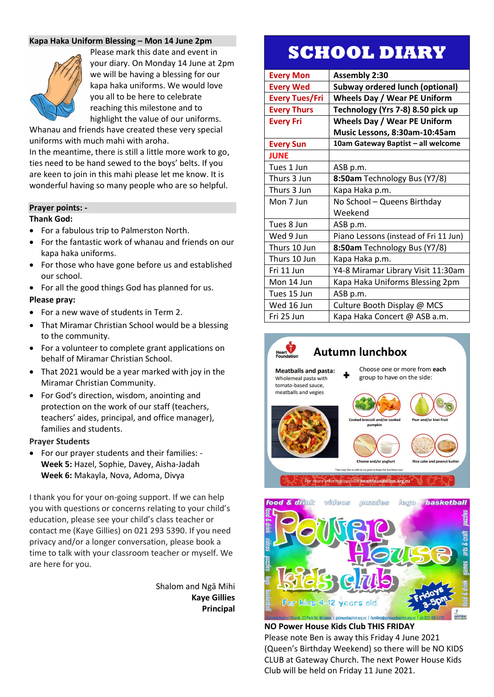## **Kapa Haka Uniform Blessing – Mon 14 June 2pm**



Please mark this date and event in your diary. On Monday 14 June at 2pm we will be having a blessing for our kapa haka uniforms. We would love you all to be here to celebrate reaching this milestone and to highlight the value of our uniforms.

Whanau and friends have created these very special uniforms with much mahi with aroha.

In the meantime, there is still a little more work to go, ties need to be hand sewed to the boys' belts. If you are keen to join in this mahi please let me know. It is wonderful having so many people who are so helpful.

#### **Prayer points: -**

#### **Thank God:**

- For a fabulous trip to Palmerston North.
- For the fantastic work of whanau and friends on our kapa haka uniforms.
- For those who have gone before us and established our school.
- For all the good things God has planned for us.

#### **Please pray:**

- For a new wave of students in Term 2.
- That Miramar Christian School would be a blessing to the community.
- For a volunteer to complete grant applications on behalf of Miramar Christian School.
- That 2021 would be a year marked with joy in the Miramar Christian Community.
- For God's direction, wisdom, anointing and protection on the work of our staff (teachers, teachers' aides, principal, and office manager), families and students.

#### **Prayer Students**

• For our prayer students and their families: - **Week 5:** Hazel, Sophie, Davey, Aisha-Jadah **Week 6:** Makayla, Nova, Adoma, Divya

I thank you for your on-going support. If we can help you with questions or concerns relating to your child's education, please see your child's class teacher or contact me (Kaye Gillies) on 021 293 5390. If you need privacy and/or a longer conversation, please book a time to talk with your classroom teacher or myself. We are here for you.

> Shalom and Ngā Mihi **Kaye Gillies Principal**

# **SCHOOL DIARY**

| <b>Every Mon</b>      | <b>Assembly 2:30</b>                   |
|-----------------------|----------------------------------------|
| <b>Every Wed</b>      | <b>Subway ordered lunch (optional)</b> |
| <b>Every Tues/Fri</b> | <b>Wheels Day / Wear PE Uniform</b>    |
| <b>Every Thurs</b>    | Technology (Yrs 7-8) 8.50 pick up      |
| <b>Every Fri</b>      | <b>Wheels Day / Wear PE Uniform</b>    |
|                       | Music Lessons, 8:30am-10:45am          |
| <b>Every Sun</b>      | 10am Gateway Baptist - all welcome     |
| <b>JUNE</b>           |                                        |
| Tues 1 Jun            | ASB p.m.                               |
| Thurs 3 Jun           | 8:50am Technology Bus (Y7/8)           |
| Thurs 3 Jun           | Kapa Haka p.m.                         |
| Mon 7 Jun             | No School - Queens Birthday            |
|                       | Weekend                                |
| Tues 8 Jun            | ASB p.m.                               |
| Wed 9 Jun             | Piano Lessons (instead of Fri 11 Jun)  |
| Thurs 10 Jun          | 8:50am Technology Bus (Y7/8)           |
| Thurs 10 Jun          | Kapa Haka p.m.                         |
| Fri 11 Jun            | Y4-8 Miramar Library Visit 11:30am     |
| Mon 14 Jun            | Kapa Haka Uniforms Blessing 2pm        |
| Tues 15 Jun           | ASB p.m.                               |
| Wed 16 Jun            | Culture Booth Display @ MCS            |
| Fri 25 Jun            | Kapa Haka Concert @ ASB a.m.           |





**NO Power House Kids Club THIS FRIDAY** Please note Ben is away this Friday 4 June 2021 (Queen's Birthday Weekend) so there will be NO KIDS CLUB at Gateway Church. The next Power House Kids Club will be held on Friday 11 June 2021.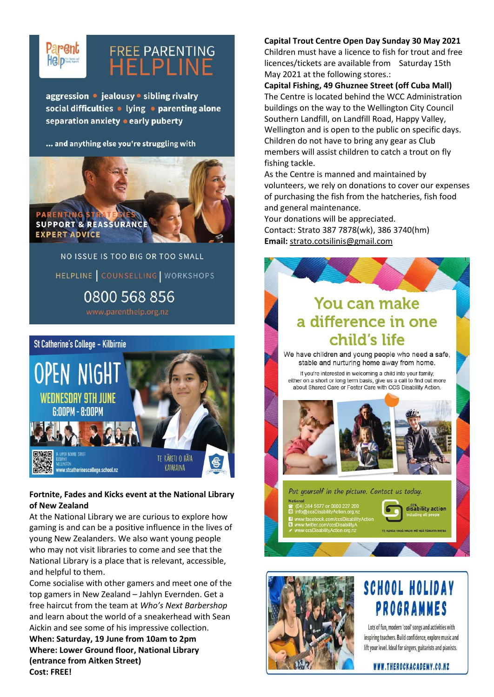

# **FREE PARENTING HELPLINE**

aggression · jealousy · sibling rivalry social difficulties • lying • parenting alone separation anxiety • early puberty

#### ... and anything else you're struggling with



NO ISSUE IS TOO BIG OR TOO SMALL HELPLINE | COUNSELLING | WORKSHOPS 0800 568 856



# **Fortnite, Fades and Kicks event at the National Library of New Zealand**

At the National Library we are curious to explore how gaming is and can be a positive influence in the lives of young New Zealanders. We also want young people who may not visit libraries to come and see that the National Library is a place that is relevant, accessible, and helpful to them.

Come socialise with other gamers and meet one of the top gamers in New Zealand – Jahlyn Evernden. Get a free haircut from the team at *Who's Next Barbershop* and learn about the world of a sneakerhead with Sean Aickin and see some of his impressive collection. **When: Saturday, 19 June from 10am to 2pm Where: Lower Ground floor, National Library (entrance from Aitken Street) Cost: FREE!**

#### **Capital Trout Centre Open Day Sunday 30 May 2021**

Children must have a licence to fish for trout and free licences/tickets are available from Saturday 15th May 2021 at the following stores.:

## **Capital Fishing, 49 Ghuznee Street (off Cuba Mall)**

The Centre is located behind the WCC Administration buildings on the way to the Wellington City Council Southern Landfill, on Landfill Road, Happy Valley, Wellington and is open to the public on specific days. Children do not have to bring any gear as Club members will assist children to catch a trout on fly fishing tackle.

As the Centre is manned and maintained by volunteers, we rely on donations to cover our expenses of purchasing the fish from the hatcheries, fish food and general maintenance.

Your donations will be appreciated. Contact: Strato 387 7878(wk), 386 3740(hm) **Email:** [strato.cotsilinis@gmail.com](mailto:strato.cotsilinis@gmail.com)

# **You can make** a difference in one child's life

We have children and young people who need a safe, stable and nurturing home away from home.

If you're interested in welcoming a child into your family, either on a short or long term basis, give us a call to find out more about Shared Care or Foster Care with CCS Disability Action.



Put yourself in the picture. Contact us today.



MÕ NGÃ TĂNGATA KATO



# SCHOOL HOLIDAY PROGRAMMES

Lots of fun, modern 'cool' songs and activities with inspiring teachers. Build confidence, explore music and lift your level. Ideal for singers, guitarists and pianists.

WWW.THEROCKACADEMY.CO.NZ